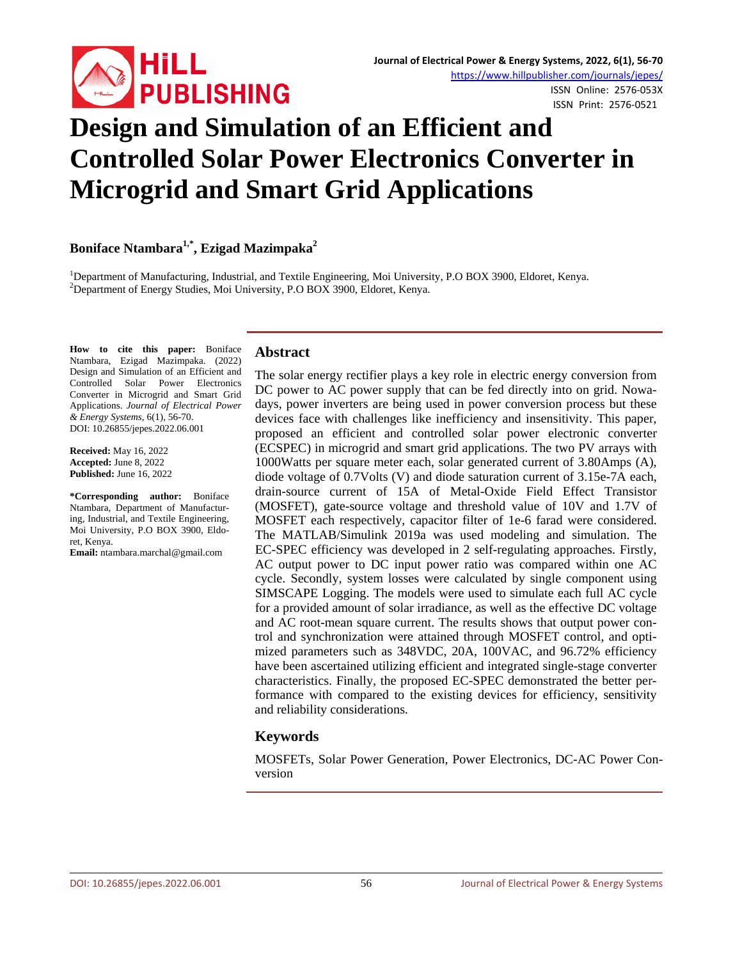

# **Design and Simulation of an Efficient and Controlled Solar Power Electronics Converter in Microgrid and Smart Grid Applications**

# **Boniface Ntambara1,\* , Ezigad Mazimpaka<sup>2</sup>**

<sup>1</sup>Department of Manufacturing, Industrial, and Textile Engineering, Moi University, P.O BOX 3900, Eldoret, Kenya.<br><sup>2</sup>Department of Engray Studies, Moi University, B.O.BOX 3000, Eldoret, Kenya. <sup>2</sup>Department of Energy Studies, Moi University, P.O BOX 3900, Eldoret, Kenya.

**How to cite this paper:** Boniface Ntambara, Ezigad Mazimpaka. (2022) Design and Simulation of an Efficient and Controlled Solar Power Electronics Converter in Microgrid and Smart Grid Applications. *Journal of Electrical Power & Energy Systems*, 6(1), 56-70. DOI: 10.26855/jepes.2022.06.001

**Received:** May 16, 2022 **Accepted:** June 8, 2022 **Published:** June 16, 2022

**\*Corresponding author:** Boniface Ntambara, Department of Manufacturing, Industrial, and Textile Engineering, Moi University, P.O BOX 3900, Eldoret, Kenya.

**Email:** ntambara.marchal@gmail.com

#### **Abstract**

The solar energy rectifier plays a key role in electric energy conversion from DC power to AC power supply that can be fed directly into on grid. Nowadays, power inverters are being used in power conversion process but these devices face with challenges like inefficiency and insensitivity. This paper, proposed an efficient and controlled solar power electronic converter (ECSPEC) in microgrid and smart grid applications. The two PV arrays with 1000Watts per square meter each, solar generated current of 3.80Amps (A), diode voltage of 0.7Volts (V) and diode saturation current of 3.15e-7A each, drain-source current of 15A of Metal-Oxide Field Effect Transistor (MOSFET), gate-source voltage and threshold value of 10V and 1.7V of MOSFET each respectively, capacitor filter of 1e-6 farad were considered. The MATLAB/Simulink 2019a was used modeling and simulation. The EC-SPEC efficiency was developed in 2 self-regulating approaches. Firstly, AC output power to DC input power ratio was compared within one AC cycle. Secondly, system losses were calculated by single component using SIMSCAPE Logging. The models were used to simulate each full AC cycle for a provided amount of solar irradiance, as well as the effective DC voltage and AC root-mean square current. The results shows that output power control and synchronization were attained through MOSFET control, and optimized parameters such as 348VDC, 20A, 100VAC, and 96.72% efficiency have been ascertained utilizing efficient and integrated single-stage converter characteristics. Finally, the proposed EC-SPEC demonstrated the better performance with compared to the existing devices for efficiency, sensitivity and reliability considerations.

# **Keywords**

MOSFETs, Solar Power Generation, Power Electronics, DC-AC Power Conversion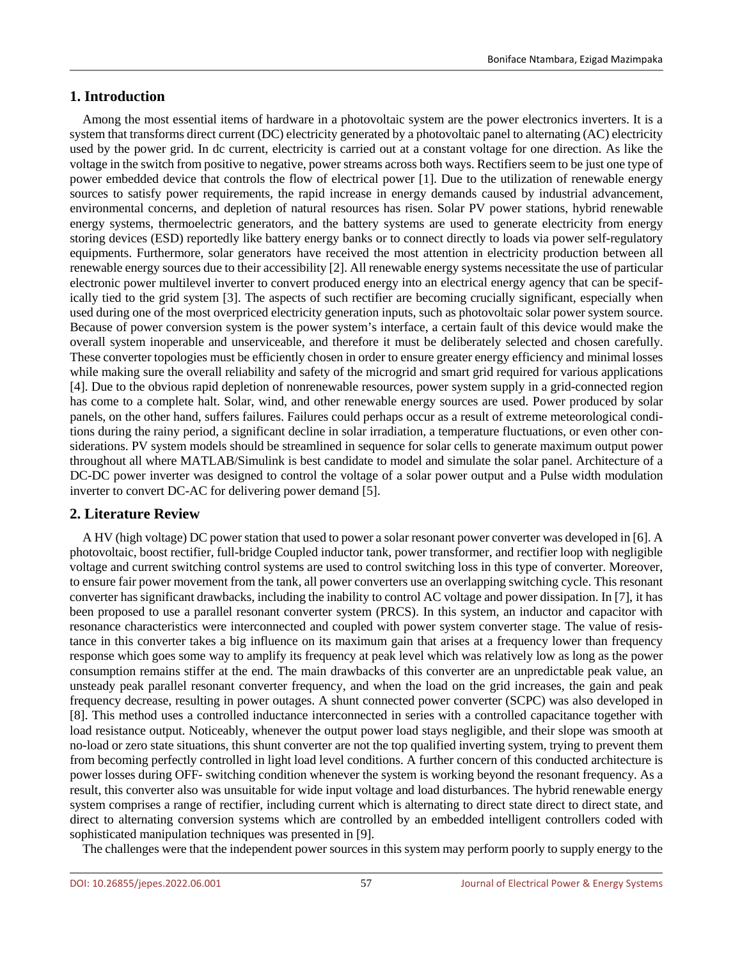# **1. Introduction**

Among the most essential items of hardware in a photovoltaic system are the power electronics inverters. It is a system that transforms direct current (DC) electricity generated by a photovoltaic panel to alternating (AC) electricity used by the power grid. In dc current, electricity is carried out at a constant voltage for one direction. As like the voltage in the switch from positive to negative, power streams across both ways. Rectifiers seem to be just one type of power embedded device that controls the flow of electrical power [1]. Due to the utilization of renewable energy sources to satisfy power requirements, the rapid increase in energy demands caused by industrial advancement, environmental concerns, and depletion of natural resources has risen. Solar PV power stations, hybrid renewable energy systems, thermoelectric generators, and the battery systems are used to generate electricity from energy storing devices (ESD) reportedly like battery energy banks or to connect directly to loads via power self-regulatory equipments. Furthermore, solar generators have received the most attention in electricity production between all renewable energy sources due to their accessibility [2]. All renewable energy systems necessitate the use of particular electronic power multilevel inverter to convert produced energy into an electrical energy agency that can be specifically tied to the grid system [3]. The aspects of such rectifier are becoming crucially significant, especially when used during one of the most overpriced electricity generation inputs, such as photovoltaic solar power system source. Because of power conversion system is the power system's interface, a certain fault of this device would make the overall system inoperable and unserviceable, and therefore it must be deliberately selected and chosen carefully. These converter topologies must be efficiently chosen in order to ensure greater energy efficiency and minimal losses while making sure the overall reliability and safety of the microgrid and smart grid required for various applications [4]. Due to the obvious rapid depletion of nonrenewable resources, power system supply in a grid-connected region has come to a complete halt. Solar, wind, and other renewable energy sources are used. Power produced by solar panels, on the other hand, suffers failures. Failures could perhaps occur as a result of extreme meteorological conditions during the rainy period, a significant decline in solar irradiation, a temperature fluctuations, or even other considerations. PV system models should be streamlined in sequence for solar cells to generate maximum output power throughout all where MATLAB/Simulink is best candidate to model and simulate the solar panel. Architecture of a DC-DC power inverter was designed to control the voltage of a solar power output and a Pulse width modulation inverter to convert DC-AC for delivering power demand [5].

# **2. Literature Review**

A HV (high voltage) DC power station that used to power a solar resonant power converter was developed in [6]. A photovoltaic, boost rectifier, full-bridge Coupled inductor tank, power transformer, and rectifier loop with negligible voltage and current switching control systems are used to control switching loss in this type of converter. Moreover, to ensure fair power movement from the tank, all power converters use an overlapping switching cycle. This resonant converter has significant drawbacks, including the inability to control AC voltage and power dissipation. In [7], it has been proposed to use a parallel resonant converter system (PRCS). In this system, an inductor and capacitor with resonance characteristics were interconnected and coupled with power system converter stage. The value of resistance in this converter takes a big influence on its maximum gain that arises at a frequency lower than frequency response which goes some way to amplify its frequency at peak level which was relatively low as long as the power consumption remains stiffer at the end. The main drawbacks of this converter are an unpredictable peak value, an unsteady peak parallel resonant converter frequency, and when the load on the grid increases, the gain and peak frequency decrease, resulting in power outages. A shunt connected power converter (SCPC) was also developed in [8]. This method uses a controlled inductance interconnected in series with a controlled capacitance together with load resistance output. Noticeably, whenever the output power load stays negligible, and their slope was smooth at no-load or zero state situations, this shunt converter are not the top qualified inverting system, trying to prevent them from becoming perfectly controlled in light load level conditions. A further concern of this conducted architecture is power losses during OFF- switching condition whenever the system is working beyond the resonant frequency. As a result, this converter also was unsuitable for wide input voltage and load disturbances. The hybrid renewable energy system comprises a range of rectifier, including current which is alternating to direct state direct to direct state, and direct to alternating conversion systems which are controlled by an embedded intelligent controllers coded with sophisticated manipulation techniques was presented in [9].

The challenges were that the independent power sources in this system may perform poorly to supply energy to the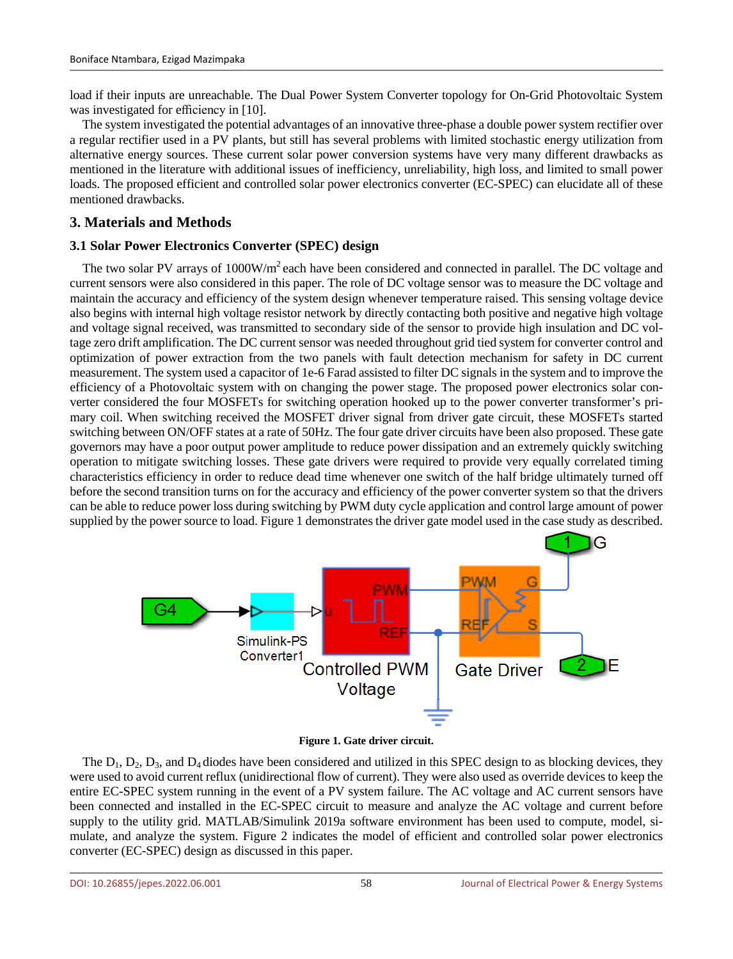load if their inputs are unreachable. The Dual Power System Converter topology for On-Grid Photovoltaic System was investigated for efficiency in [10].

The system investigated the potential advantages of an innovative three-phase a double power system rectifier over a regular rectifier used in a PV plants, but still has several problems with limited stochastic energy utilization from alternative energy sources. These current solar power conversion systems have very many different drawbacks as mentioned in the literature with additional issues of inefficiency, unreliability, high loss, and limited to small power loads. The proposed efficient and controlled solar power electronics converter (EC-SPEC) can elucidate all of these mentioned drawbacks.

# **3. Materials and Methods**

## **3.1 Solar Power Electronics Converter (SPEC) design**

The two solar PV arrays of 1000W/m<sup>2</sup> each have been considered and connected in parallel. The DC voltage and current sensors were also considered in this paper. The role of DC voltage sensor was to measure the DC voltage and maintain the accuracy and efficiency of the system design whenever temperature raised. This sensing voltage device also begins with internal high voltage resistor network by directly contacting both positive and negative high voltage and voltage signal received, was transmitted to secondary side of the sensor to provide high insulation and DC voltage zero drift amplification. The DC current sensor was needed throughout grid tied system for converter control and optimization of power extraction from the two panels with fault detection mechanism for safety in DC current measurement. The system used a capacitor of 1e-6 Farad assisted to filter DC signals in the system and to improve the efficiency of a Photovoltaic system with on changing the power stage. The proposed power electronics solar converter considered the four MOSFETs for switching operation hooked up to the power converter transformer's primary coil. When switching received the MOSFET driver signal from driver gate circuit, these MOSFETs started switching between ON/OFF states at a rate of 50Hz. The four gate driver circuits have been also proposed. These gate governors may have a poor output power amplitude to reduce power dissipation and an extremely quickly switching operation to mitigate switching losses. These gate drivers were required to provide very equally correlated timing characteristics efficiency in order to reduce dead time whenever one switch of the half bridge ultimately turned off before the second transition turns on for the accuracy and efficiency of the power converter system so that the drivers can be able to reduce power loss during switching by PWM duty cycle application and control large amount of power supplied by the power source to load. Figure 1 demonstrates the driver gate model used in the case study as described.





The  $D_1$ ,  $D_2$ ,  $D_3$ , and  $D_4$  diodes have been considered and utilized in this SPEC design to as blocking devices, they were used to avoid current reflux (unidirectional flow of current). They were also used as override devices to keep the entire EC-SPEC system running in the event of a PV system failure. The AC voltage and AC current sensors have been connected and installed in the EC-SPEC circuit to measure and analyze the AC voltage and current before supply to the utility grid. MATLAB/Simulink 2019a software environment has been used to compute, model, simulate, and analyze the system. Figure 2 indicates the model of efficient and controlled solar power electronics converter (EC-SPEC) design as discussed in this paper.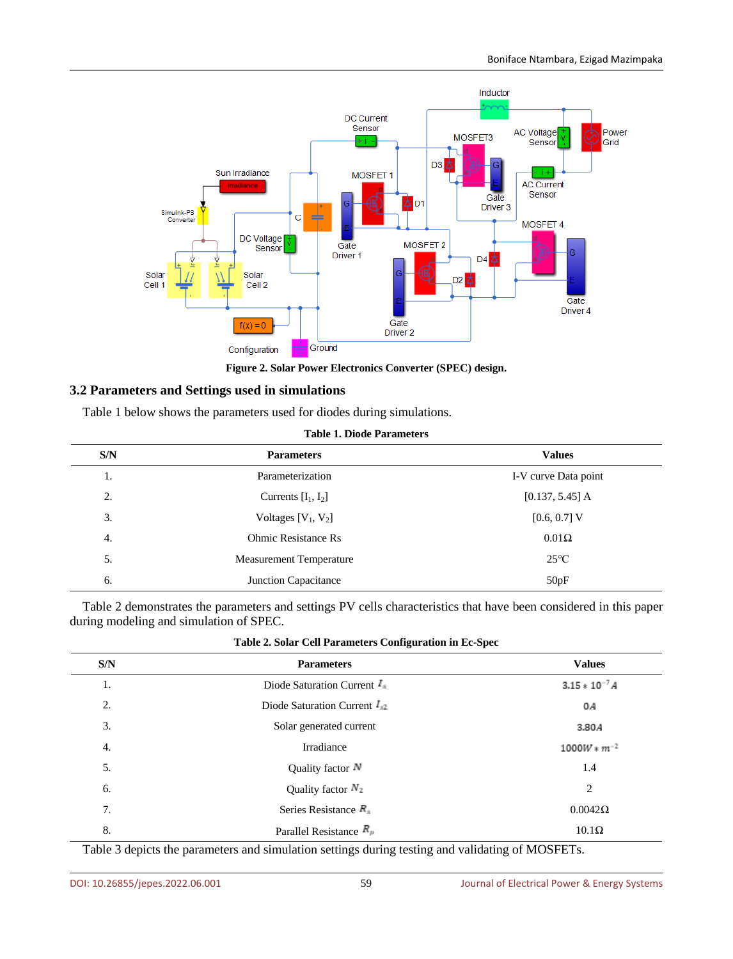

**Figure 2. Solar Power Electronics Converter (SPEC) design.**

### **3.2 Parameters and Settings used in simulations**

Table 1 below shows the parameters used for diodes during simulations.

|  |  |  | <b>Table 1. Diode Parameters</b> |
|--|--|--|----------------------------------|
|--|--|--|----------------------------------|

| S/N | <b>Parameters</b>              | <b>Values</b>        |
|-----|--------------------------------|----------------------|
| 1.  | Parameterization               | I-V curve Data point |
| 2.  | Currents $[I_1, I_2]$          | $[0.137, 5.45]$ A    |
| 3.  | Voltages $[V_1, V_2]$          | $[0.6, 0.7]$ V       |
| 4.  | <b>Ohmic Resistance Rs</b>     | $0.01\Omega$         |
| 5.  | <b>Measurement Temperature</b> | $25^{\circ}C$        |
| 6.  | Junction Capacitance           | 50pF                 |

Table 2 demonstrates the parameters and settings PV cells characteristics that have been considered in this paper during modeling and simulation of SPEC.

| S/N | <b>Parameters</b>                        | <b>Values</b>       |
|-----|------------------------------------------|---------------------|
| 1.  | Diode Saturation Current $I_{\parallel}$ | $3.15 * 10^{-7} A$  |
| 2.  | Diode Saturation Current $I_{42}$        | 0A                  |
| 3.  | Solar generated current                  | 3.80A               |
| 4.  | Irradiance                               | $1000W \ast m^{-2}$ |
| 5.  | Quality factor $\mathbb N$               | 1.4                 |
| 6.  | Quality factor $N_2$                     | 2                   |
| 7.  | Series Resistance $R_{\text{H}}$         | $0.0042\Omega$      |
| 8.  | Parallel Resistance $R_p$                | $10.1\Omega$        |

Table 3 depicts the parameters and simulation settings during testing and validating of MOSFETs.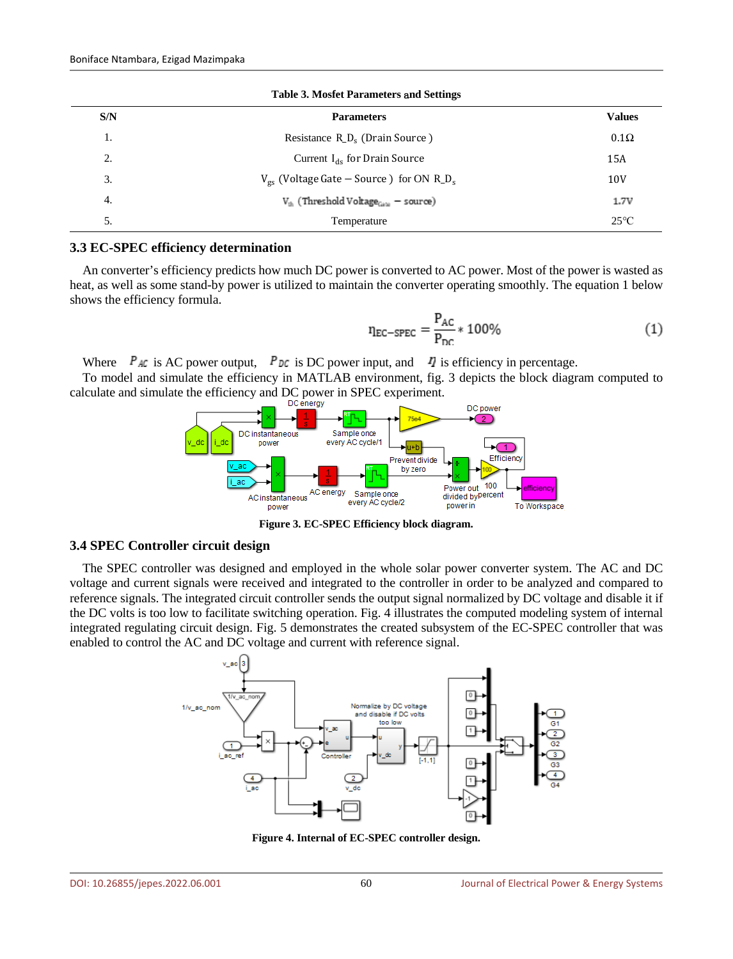| <b>Table 3. Mosfet Parameters and Settings</b> |                                                                      |                 |  |  |
|------------------------------------------------|----------------------------------------------------------------------|-----------------|--|--|
| S/N                                            | <b>Parameters</b>                                                    | <b>Values</b>   |  |  |
| 1.                                             | Resistance R <sub>_D</sub> <sub>s</sub> (Drain Source)               | $0.1\Omega$     |  |  |
| 2.                                             | Current $I_{ds}$ for Drain Source                                    | 15A             |  |  |
| 3.                                             | $V_{gs}$ (Voltage Gate – Source ) for ON R <sub>_D<sub>s</sub></sub> | 10 <sub>V</sub> |  |  |
| 4.                                             | $V_{\text{th}}$ (Threshold Voltage <sub>Gate</sub> – source)         |                 |  |  |
| 5.                                             | Temperature                                                          | $25^{\circ}$ C  |  |  |

#### **3.3 EC-SPEC efficiency determination**

An converter's efficiency predicts how much DC power is converted to AC power. Most of the power is wasted as heat, as well as some stand-by power is utilized to maintain the converter operating smoothly. The equation 1 below shows the efficiency formula.

$$
n_{\text{EC-SPEC}} = \frac{P_{\text{AC}}}{P_{\text{DC}}} * 100\%
$$
 (1)

Where  $P_{AC}$  is AC power output,  $P_{DC}$  is DC power input, and  $I$  is efficiency in percentage.

To model and simulate the efficiency in MATLAB environment, fig. 3 depicts the block diagram computed to calculate and simulate the efficiency and DC power in SPEC experiment.



**Figure 3. EC-SPEC Efficiency block diagram.**

### **3.4 SPEC Controller circuit design**

The SPEC controller was designed and employed in the whole solar power converter system. The AC and DC voltage and current signals were received and integrated to the controller in order to be analyzed and compared to reference signals. The integrated circuit controller sends the output signal normalized by DC voltage and disable it if the DC volts is too low to facilitate switching operation. Fig. 4 illustrates the computed modeling system of internal integrated regulating circuit design. Fig. 5 demonstrates the created subsystem of the EC-SPEC controller that was enabled to control the AC and DC voltage and current with reference signal.



**Figure 4. Internal of EC-SPEC controller design.**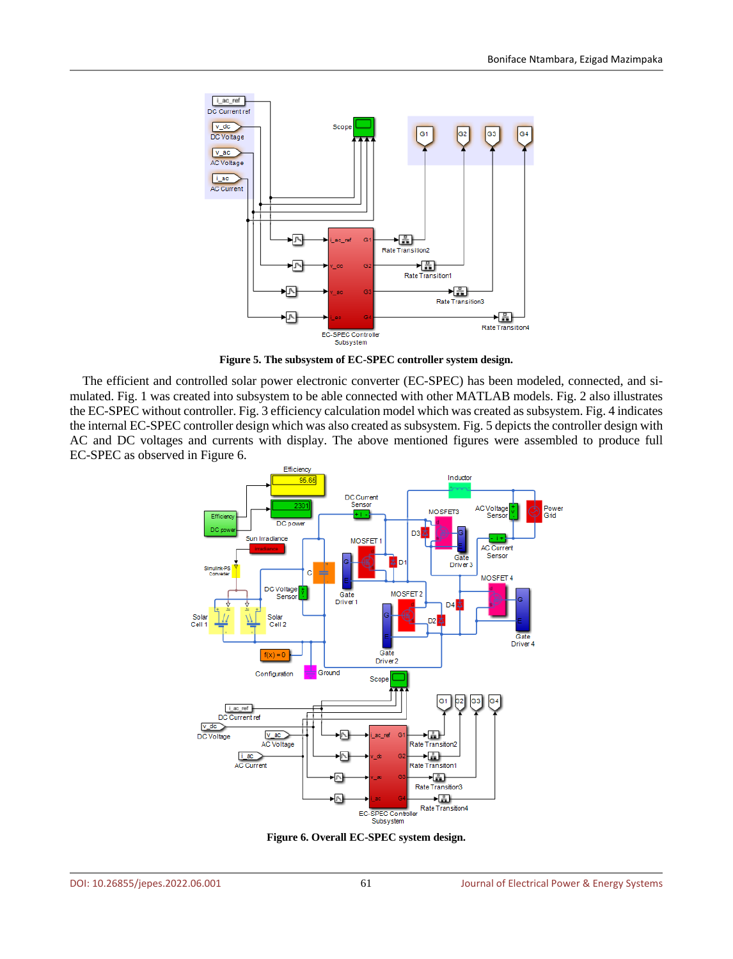

**Figure 5. The subsystem of EC-SPEC controller system design.**

The efficient and controlled solar power electronic converter (EC-SPEC) has been modeled, connected, and simulated. Fig. 1 was created into subsystem to be able connected with other MATLAB models. Fig. 2 also illustrates the EC-SPEC without controller. Fig. 3 efficiency calculation model which was created assubsystem. Fig. 4 indicates the internal EC-SPEC controller design which was also created as subsystem. Fig. 5 depicts the controller design with AC and DC voltages and currents with display. The above mentioned figures were assembled to produce full EC-SPEC as observed in Figure 6.



**Figure 6. Overall EC-SPEC system design.**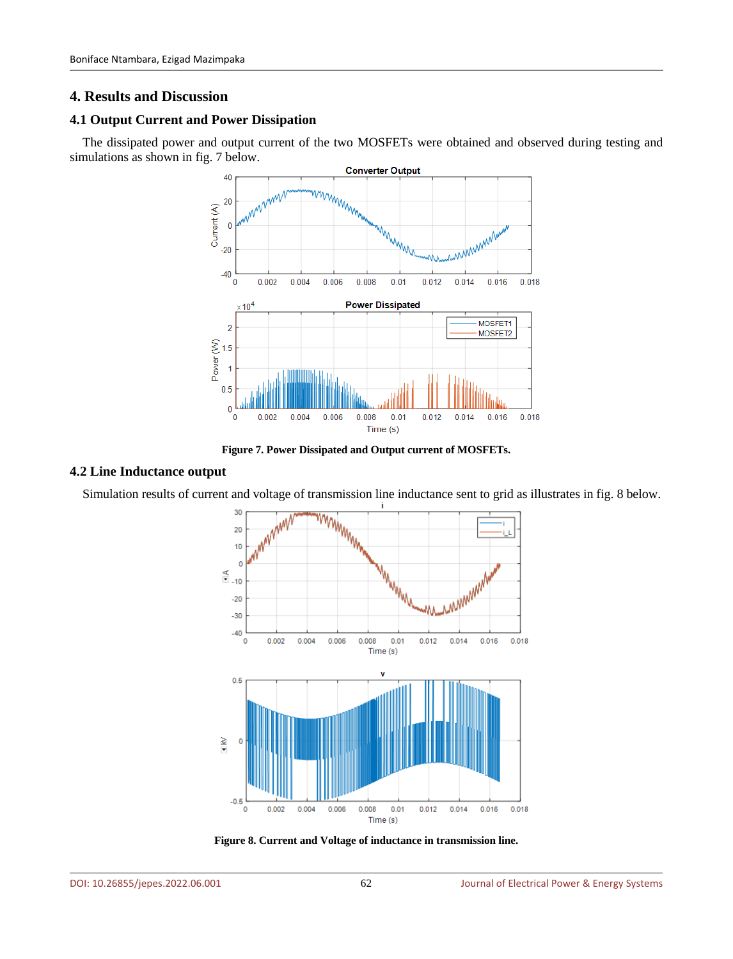# **4. Results and Discussion**

# **4.1 Output Current and Power Dissipation**

The dissipated power and output current of the two MOSFETs were obtained and observed during testing and simulations as shown in fig. 7 below.



**Figure 7. Power Dissipated and Output current of MOSFETs.**

#### **4.2 Line Inductance output**

Simulation results of current and voltage of transmission line inductance sent to grid as illustrates in fig. 8 below.



**Figure 8. Current and Voltage of inductance in transmission line.**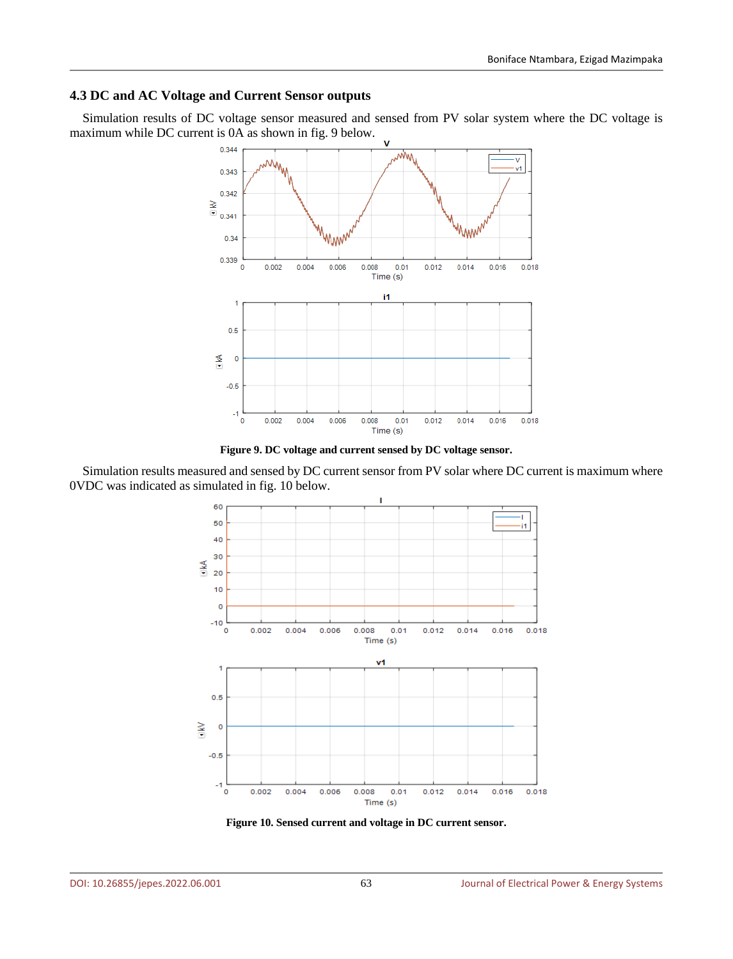### **4.3 DC and AC Voltage and Current Sensor outputs**

Simulation results of DC voltage sensor measured and sensed from PV solar system where the DC voltage is maximum while DC current is 0A as shown in fig. 9 below.



**Figure 9. DC voltage and current sensed by DC voltage sensor.**

Simulation results measured and sensed by DC current sensor from PV solar where DC current is maximum where 0VDC was indicated as simulated in fig. 10 below.



**Figure 10. Sensed current and voltage in DC current sensor.**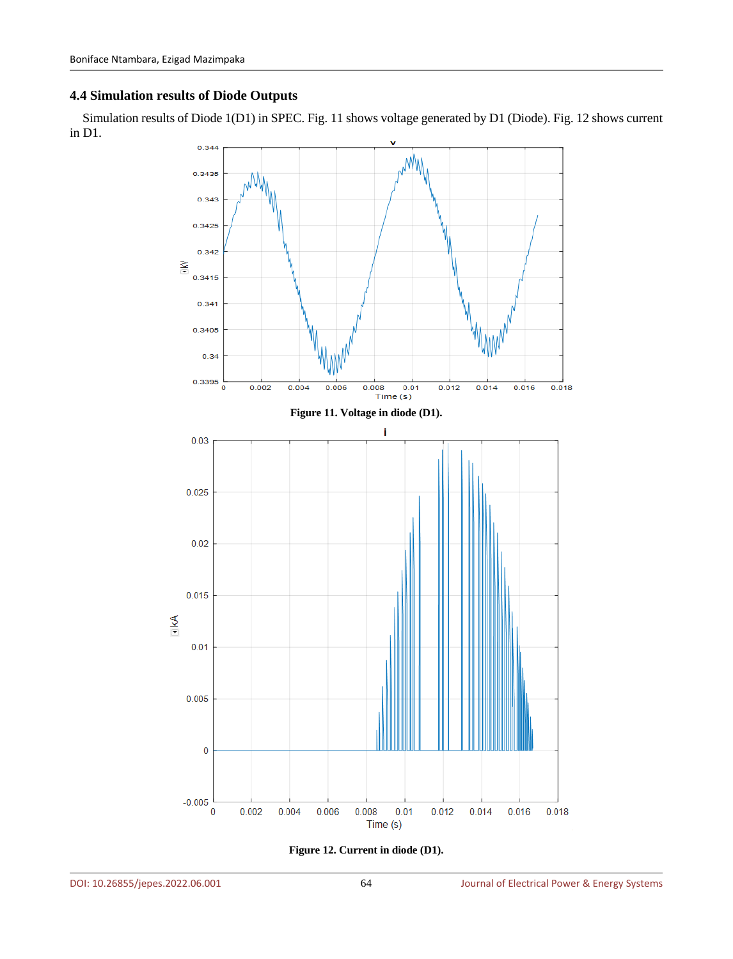## **4.4 Simulation results of Diode Outputs**

Simulation results of Diode 1(D1) in SPEC. Fig. 11 shows voltage generated by D1 (Diode). Fig. 12 shows current in D1.



**Figure 12. Current in diode (D1).**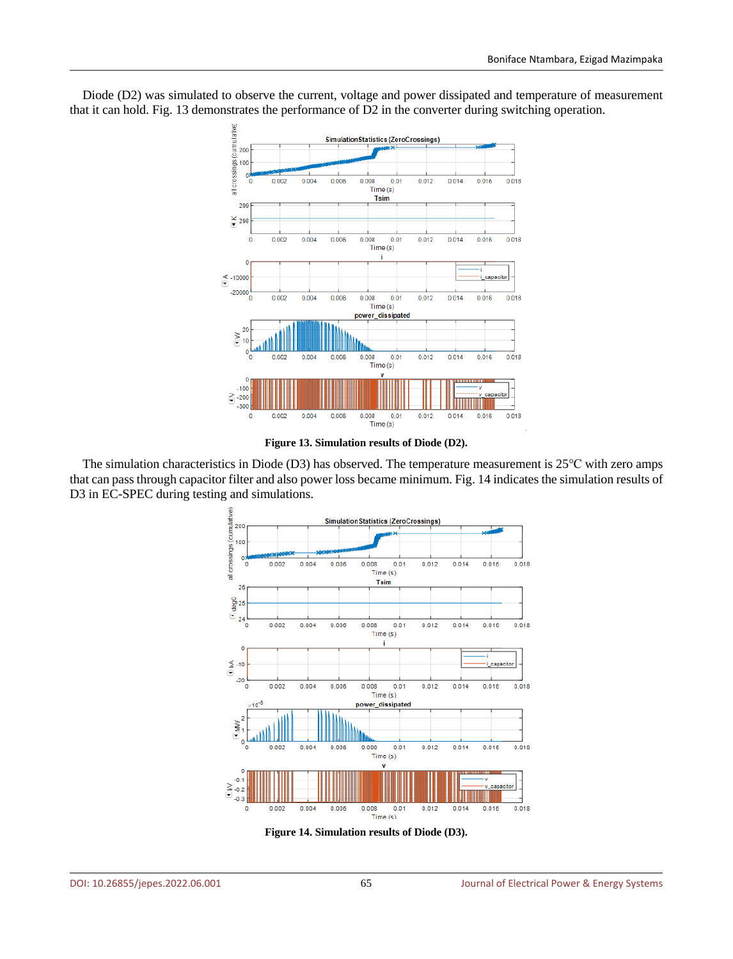

Diode (D2) was simulated to observe the current, voltage and power dissipated and temperature of measurement that it can hold. Fig. 13 demonstrates the performance of D2 in the converter during switching operation.

**Figure 13. Simulation results of Diode (D2).**

The simulation characteristics in Diode (D3) has observed. The temperature measurement is 25℃ with zero amps that can pass through capacitor filter and also power loss became minimum. Fig. 14 indicates the simulation results of D3 in EC-SPEC during testing and simulations.



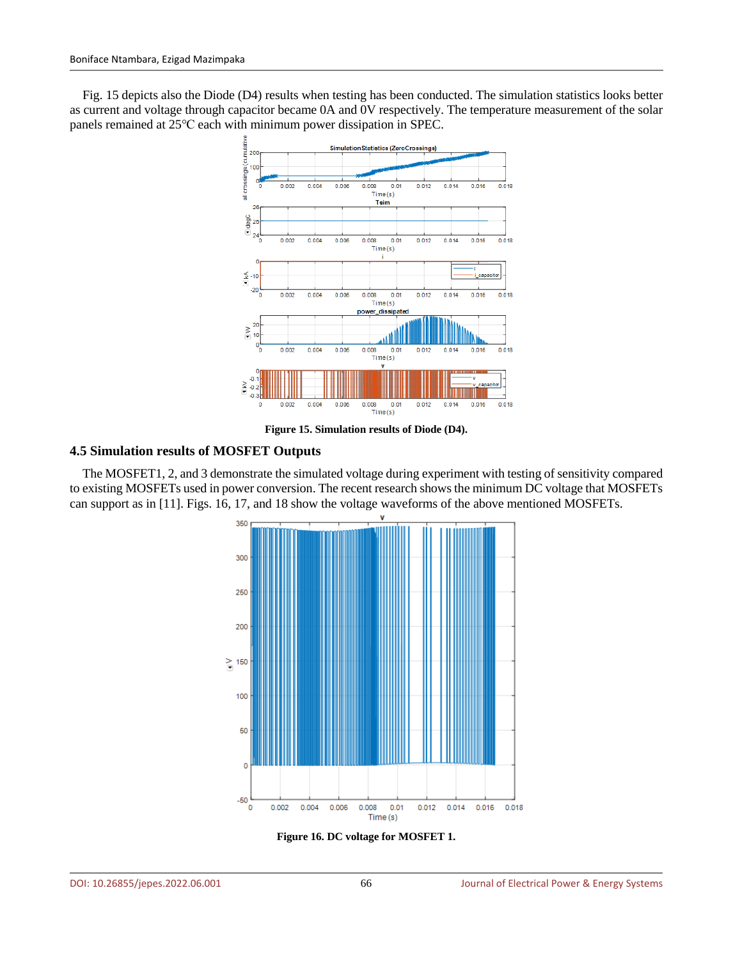Fig. 15 depicts also the Diode (D4) results when testing has been conducted. The simulation statistics looks better as current and voltage through capacitor became 0A and 0V respectively. The temperature measurement of the solar panels remained at 25℃ each with minimum power dissipation in SPEC.



**Figure 15. Simulation results of Diode (D4).**

#### **4.5 Simulation results of MOSFET Outputs**

The MOSFET1, 2, and 3 demonstrate the simulated voltage during experiment with testing of sensitivity compared to existing MOSFETs used in power conversion. The recent research shows the minimum DC voltage that MOSFETs can support as in [11]. Figs. 16, 17, and 18 show the voltage waveforms of the above mentioned MOSFETs.



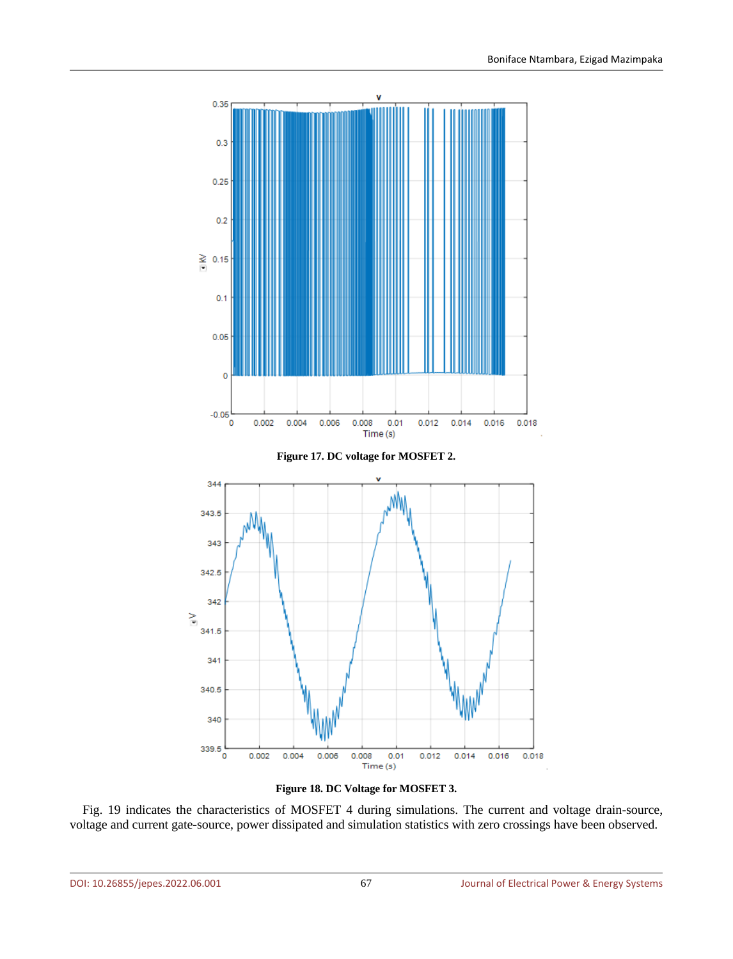



Fig. 19 indicates the characteristics of MOSFET 4 during simulations. The current and voltage drain-source, voltage and current gate-source, power dissipated and simulation statistics with zero crossings have been observed.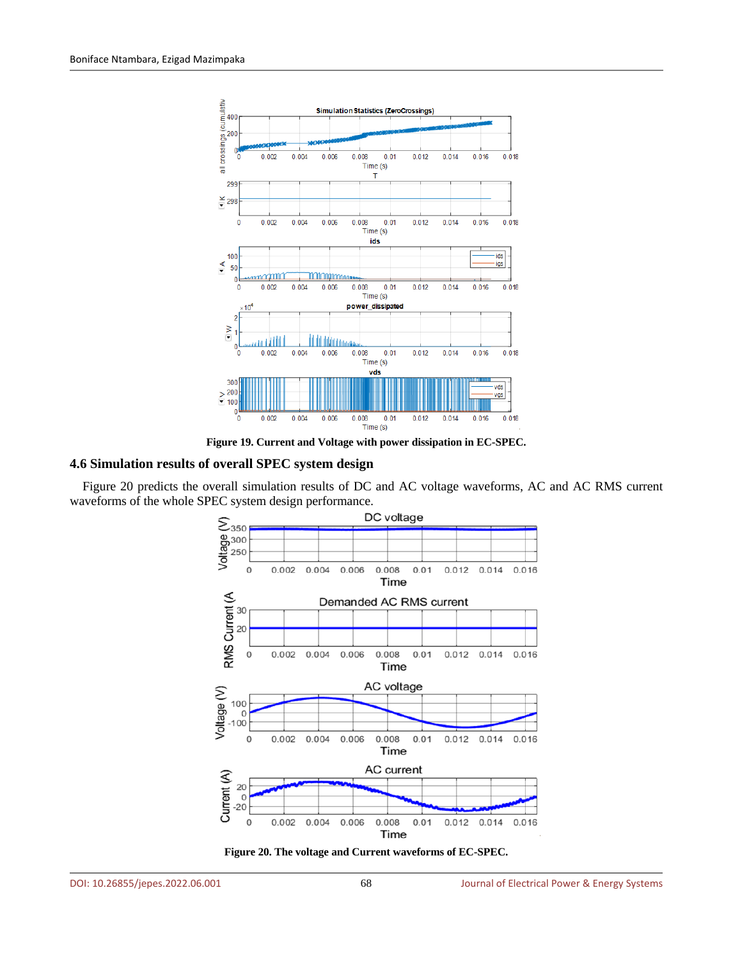

**Figure 19. Current and Voltage with power dissipation in EC-SPEC.**

#### **4.6 Simulation results of overall SPEC system design**

Figure 20 predicts the overall simulation results of DC and AC voltage waveforms, AC and AC RMS current waveforms of the whole SPEC system design performance.



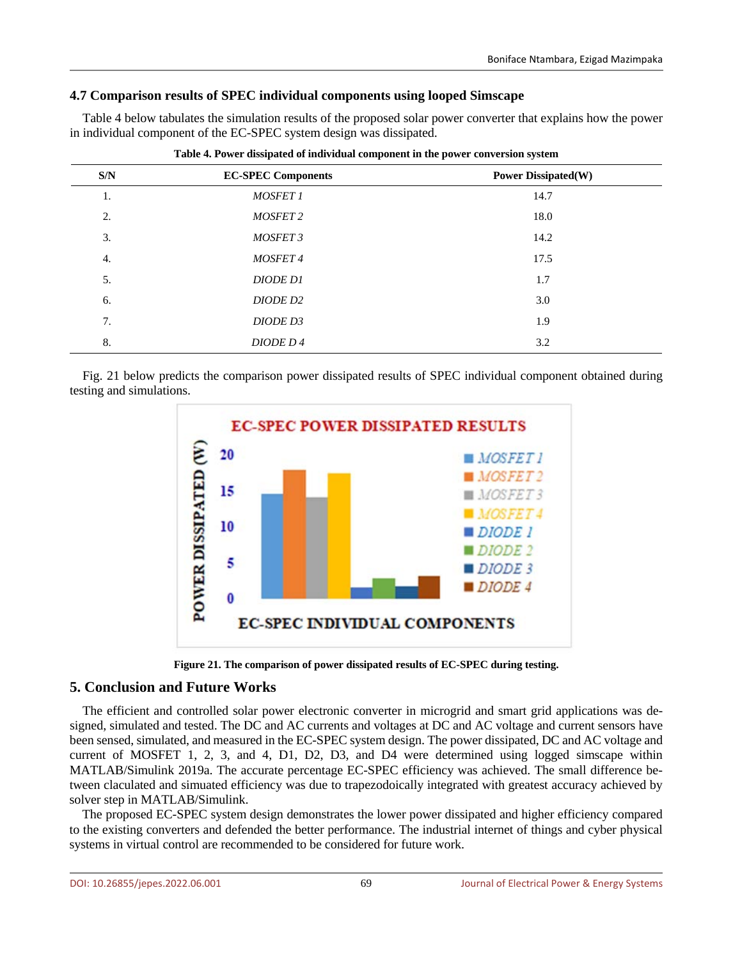## **4.7 Comparison results of SPEC individual components using looped Simscape**

Table 4 below tabulates the simulation results of the proposed solar power converter that explains how the power in individual component of the EC-SPEC system design was dissipated.

| S/N | <b>EC-SPEC Components</b> | <b>Power Dissipated(W)</b> |
|-----|---------------------------|----------------------------|
| 1.  | <b>MOSFET 1</b>           | 14.7                       |
| 2.  | <b>MOSFET 2</b>           | 18.0                       |
| 3.  | MOSFET 3                  | 14.2                       |
| 4.  | <b>MOSFET4</b>            | 17.5                       |
| 5.  | <b>DIODE D1</b>           | 1.7                        |
| 6.  | DIODE D <sub>2</sub>      | 3.0                        |
| 7.  | DIODE D3                  | 1.9                        |
| 8.  | DIODE D4                  | 3.2                        |

**Table 4. Power dissipated of individual component in the power conversion system**

Fig. 21 below predicts the comparison power dissipated results of SPEC individual component obtained during testing and simulations.



**Figure 21. The comparison of power dissipated results of EC-SPEC during testing.**

## **5. Conclusion and Future Works**

The efficient and controlled solar power electronic converter in microgrid and smart grid applications was designed, simulated and tested. The DC and AC currents and voltages at DC and AC voltage and current sensors have been sensed, simulated, and measured in the EC-SPEC system design. The power dissipated, DC and AC voltage and current of MOSFET 1, 2, 3, and 4, D1, D2, D3, and D4 were determined using logged simscape within MATLAB/Simulink 2019a. The accurate percentage EC-SPEC efficiency was achieved. The small difference between claculated and simuated efficiency was due to trapezodoically integrated with greatest accuracy achieved by solver step in MATLAB/Simulink.

The proposed EC-SPEC system design demonstrates the lower power dissipated and higher efficiency compared to the existing converters and defended the better performance. The industrial internet of things and cyber physical systems in virtual control are recommended to be considered for future work.